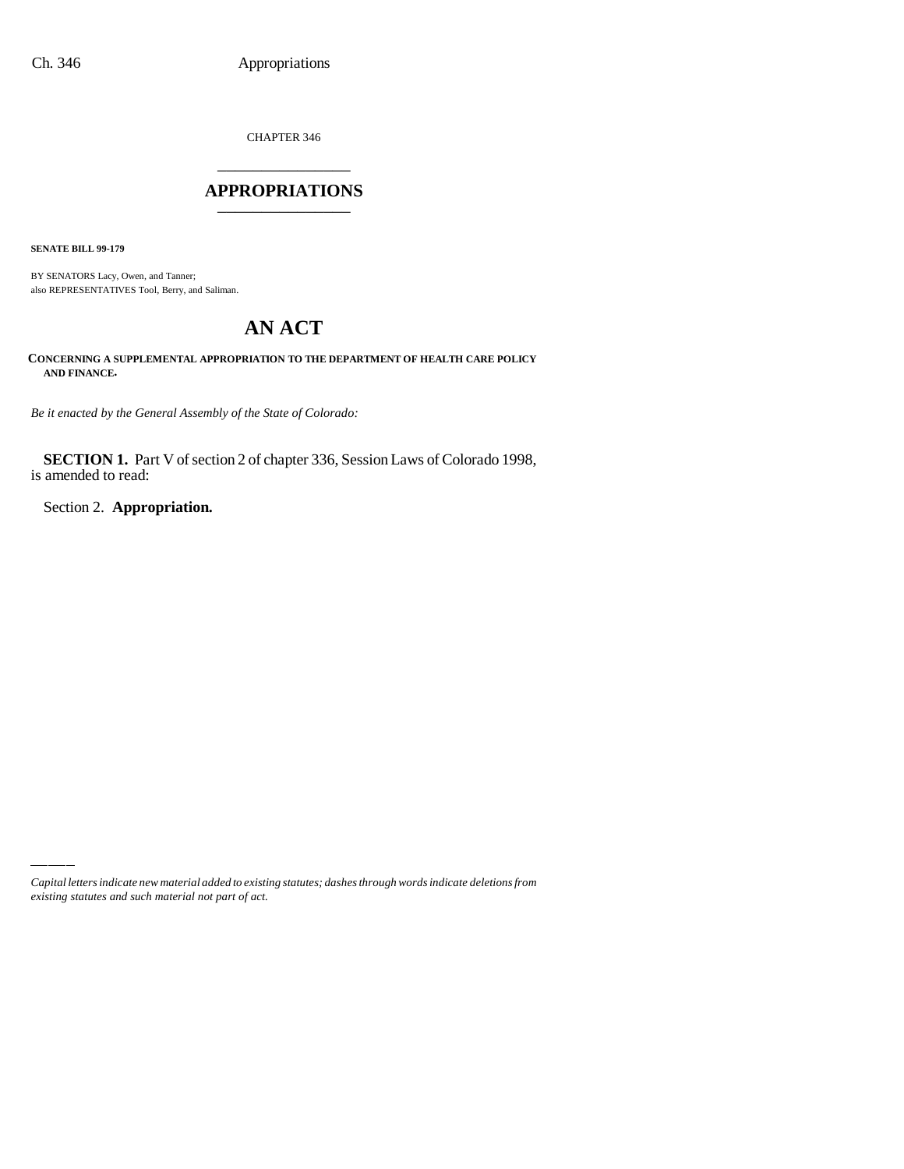CHAPTER 346 \_\_\_\_\_\_\_\_\_\_\_\_\_\_\_

### **APPROPRIATIONS** \_\_\_\_\_\_\_\_\_\_\_\_\_\_\_

**SENATE BILL 99-179**

BY SENATORS Lacy, Owen, and Tanner; also REPRESENTATIVES Tool, Berry, and Saliman.

# **AN ACT**

**CONCERNING A SUPPLEMENTAL APPROPRIATION TO THE DEPARTMENT OF HEALTH CARE POLICY AND FINANCE.**

*Be it enacted by the General Assembly of the State of Colorado:*

**SECTION 1.** Part V of section 2 of chapter 336, Session Laws of Colorado 1998, is amended to read:

Section 2. **Appropriation.**

*Capital letters indicate new material added to existing statutes; dashes through words indicate deletions from existing statutes and such material not part of act.*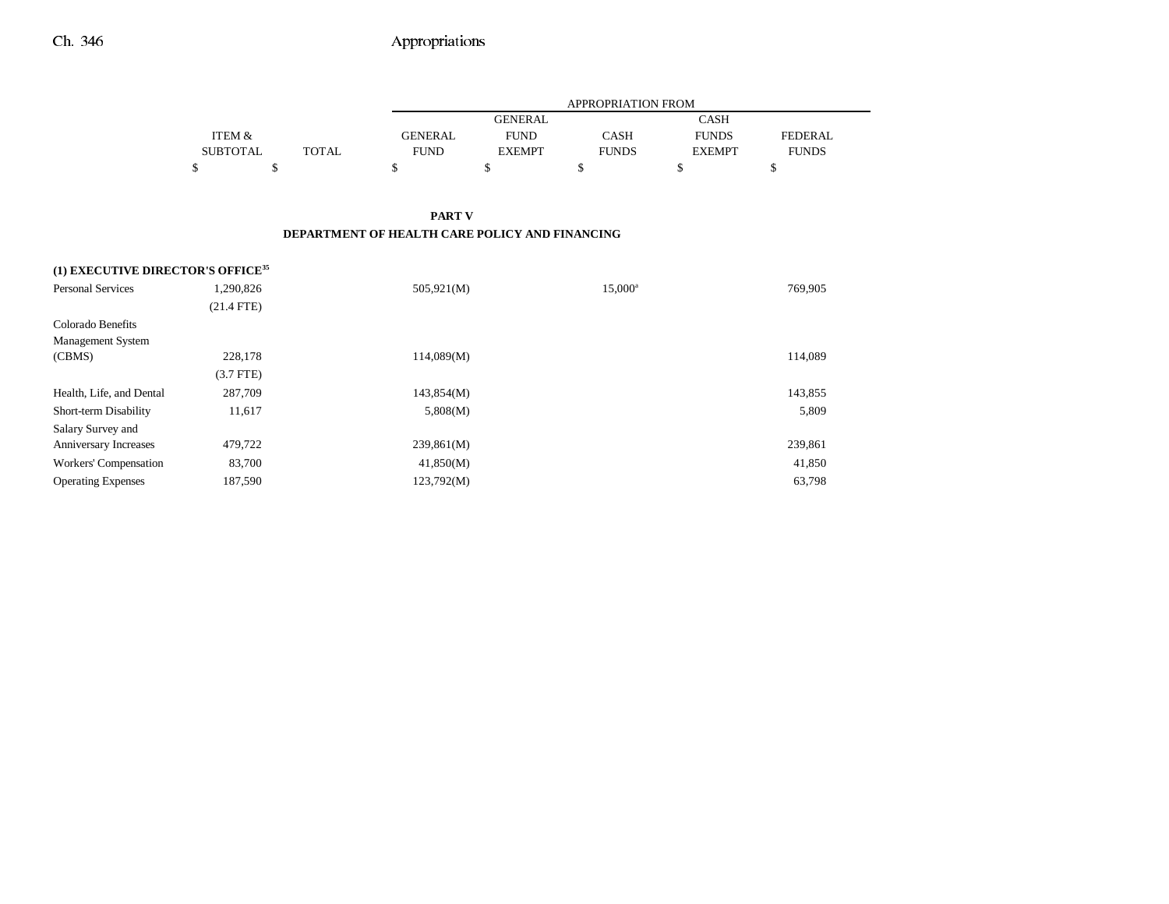|                 |       |                | APPROPRIATION FROM |              |               |              |  |  |
|-----------------|-------|----------------|--------------------|--------------|---------------|--------------|--|--|
|                 |       |                | <b>GENERAL</b>     |              | CASH          |              |  |  |
| ITEM &          |       | <b>GENERAL</b> | <b>FUND</b>        | <b>CASH</b>  | <b>FUNDS</b>  | FEDERAL.     |  |  |
| <b>SUBTOTAL</b> | TOTAL | <b>FUND</b>    | <b>EXEMPT</b>      | <b>FUNDS</b> | <b>EXEMPT</b> | <b>FUNDS</b> |  |  |
|                 |       |                |                    |              |               |              |  |  |

### **PART V DEPARTMENT OF HEALTH CARE POLICY AND FINANCING**

| (1) EXECUTIVE DIRECTOR'S OFFICE <sup>35</sup> |              |            |                  |         |  |  |  |
|-----------------------------------------------|--------------|------------|------------------|---------|--|--|--|
| <b>Personal Services</b>                      | 1,290,826    | 505,921(M) | $15,000^{\rm a}$ | 769,905 |  |  |  |
|                                               | $(21.4$ FTE) |            |                  |         |  |  |  |
| Colorado Benefits                             |              |            |                  |         |  |  |  |
| <b>Management System</b>                      |              |            |                  |         |  |  |  |
| (CBMS)                                        | 228,178      | 114,089(M) |                  | 114,089 |  |  |  |
|                                               | $(3.7$ FTE)  |            |                  |         |  |  |  |
| Health, Life, and Dental                      | 287,709      | 143,854(M) |                  | 143,855 |  |  |  |
| Short-term Disability                         | 11,617       | 5,808(M)   |                  | 5,809   |  |  |  |
| Salary Survey and                             |              |            |                  |         |  |  |  |
| Anniversary Increases                         | 479,722      | 239,861(M) |                  | 239,861 |  |  |  |
| Workers' Compensation                         | 83,700       | 41,850(M)  |                  | 41,850  |  |  |  |
| <b>Operating Expenses</b>                     | 187,590      | 123,792(M) |                  | 63,798  |  |  |  |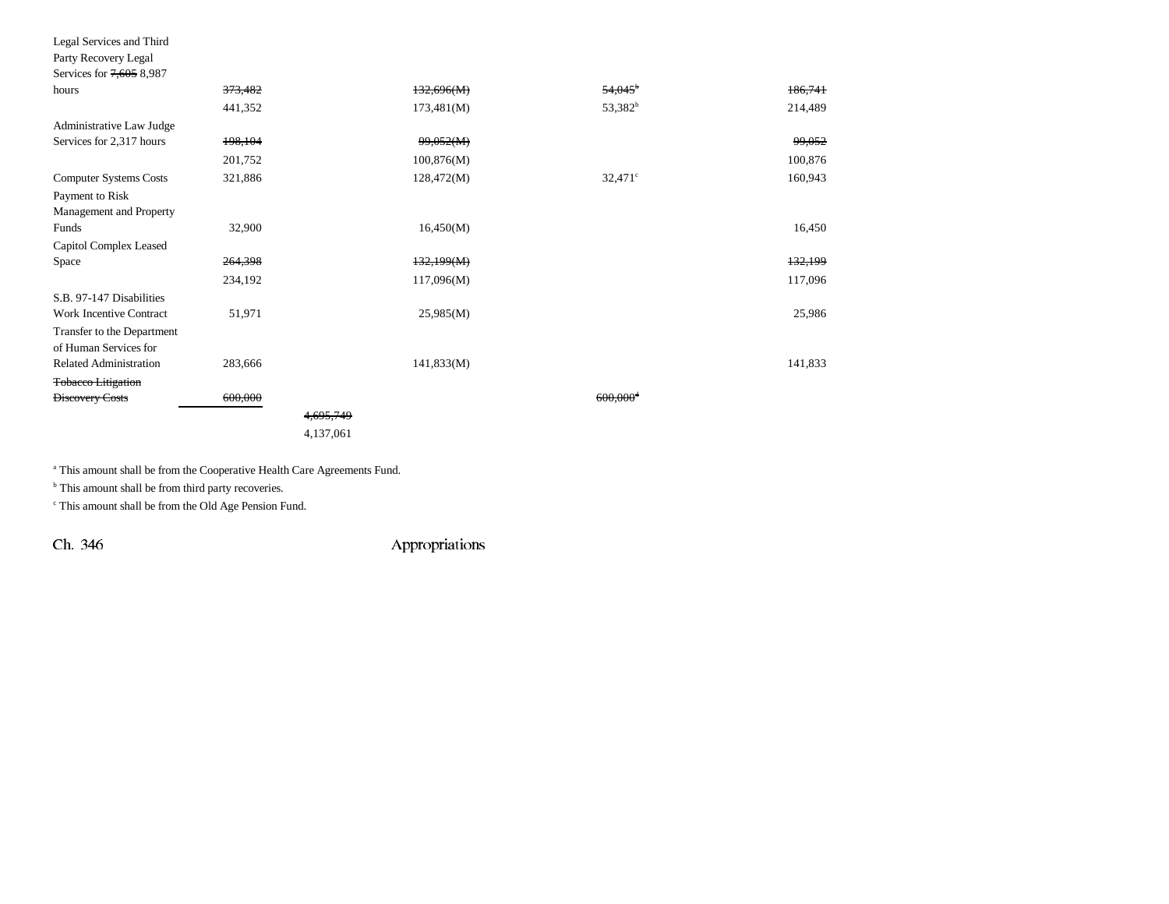| Legal Services and Third       |         |                      |            |                        |         |  |
|--------------------------------|---------|----------------------|------------|------------------------|---------|--|
| Party Recovery Legal           |         |                      |            |                        |         |  |
| Services for 7,605 8,987       |         |                      |            |                        |         |  |
| hours                          | 373,482 |                      | 132,696(M) | $54.045^{\circ}$       | 186,741 |  |
|                                | 441,352 |                      | 173,481(M) | 53,382 <sup>b</sup>    | 214,489 |  |
| Administrative Law Judge       |         |                      |            |                        |         |  |
| Services for 2,317 hours       | 198,104 |                      | 99,052(M)  |                        | 99,052  |  |
|                                | 201,752 |                      | 100,876(M) |                        | 100,876 |  |
| <b>Computer Systems Costs</b>  | 321,886 |                      | 128,472(M) | $32,471$ °             | 160,943 |  |
| Payment to Risk                |         |                      |            |                        |         |  |
| Management and Property        |         |                      |            |                        |         |  |
| Funds                          | 32,900  |                      | 16,450(M)  |                        | 16,450  |  |
| Capitol Complex Leased         |         |                      |            |                        |         |  |
| Space                          | 264,398 |                      | 132,199(M) |                        | 132,199 |  |
|                                | 234,192 |                      | 117,096(M) |                        | 117,096 |  |
| S.B. 97-147 Disabilities       |         |                      |            |                        |         |  |
| <b>Work Incentive Contract</b> | 51,971  |                      | 25,985(M)  |                        | 25,986  |  |
| Transfer to the Department     |         |                      |            |                        |         |  |
| of Human Services for          |         |                      |            |                        |         |  |
| <b>Related Administration</b>  | 283,666 |                      | 141,833(M) |                        | 141,833 |  |
| <b>Tobacco Litigation</b>      |         |                      |            |                        |         |  |
| <b>Discovery Costs</b>         | 600,000 |                      |            | $600,000$ <sup>4</sup> |         |  |
|                                |         | <del>4,695,749</del> |            |                        |         |  |
|                                |         | 4,137,061            |            |                        |         |  |

a This amount shall be from the Cooperative Health Care Agreements Fund.

 $<sup>b</sup>$  This amount shall be from third party recoveries.</sup>

c This amount shall be from the Old Age Pension Fund.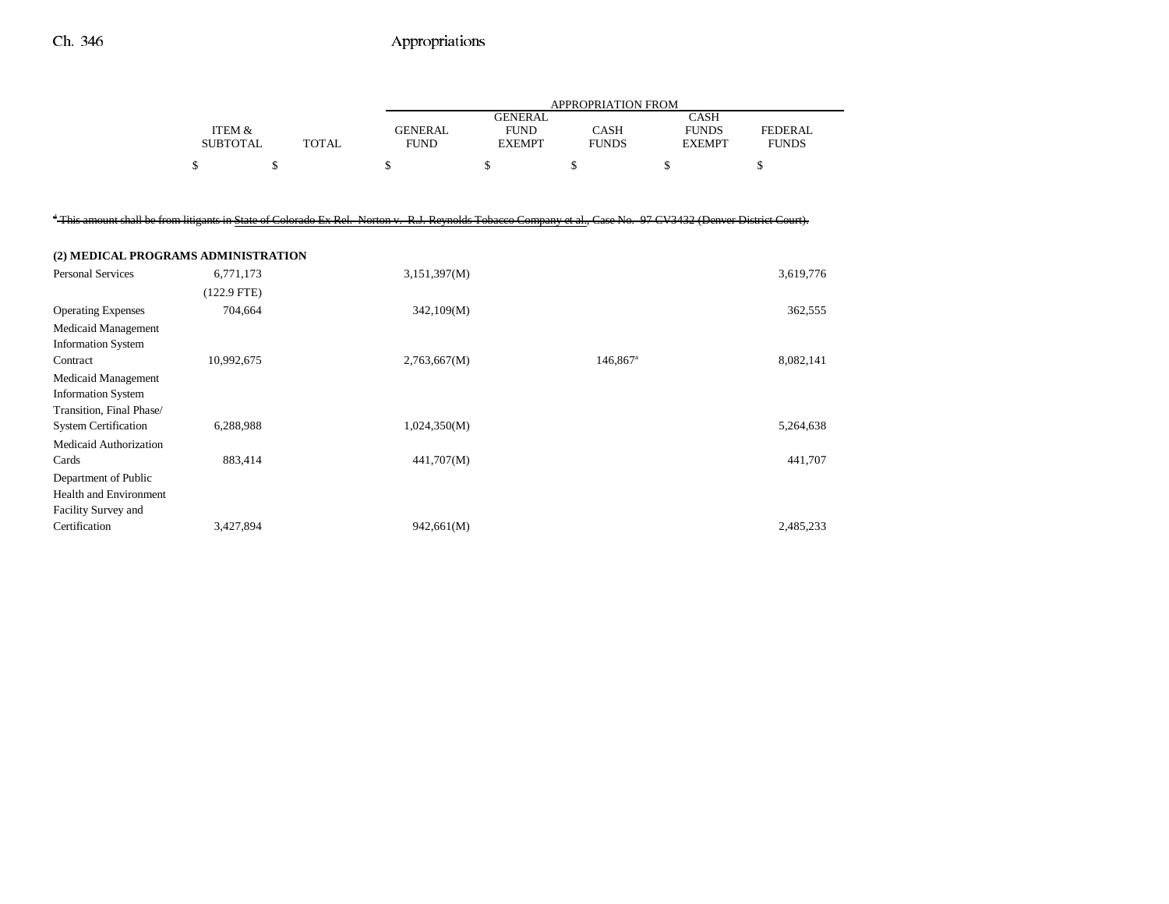|                                                                                                                                                                           |                           |              |                               |                                                | <b>APPROPRIATION FROM</b>   |                                              |                                |
|---------------------------------------------------------------------------------------------------------------------------------------------------------------------------|---------------------------|--------------|-------------------------------|------------------------------------------------|-----------------------------|----------------------------------------------|--------------------------------|
|                                                                                                                                                                           | ITEM &<br><b>SUBTOTAL</b> | <b>TOTAL</b> | <b>GENERAL</b><br><b>FUND</b> | <b>GENERAL</b><br><b>FUND</b><br><b>EXEMPT</b> | <b>CASH</b><br><b>FUNDS</b> | <b>CASH</b><br><b>FUNDS</b><br><b>EXEMPT</b> | <b>FEDERAL</b><br><b>FUNDS</b> |
|                                                                                                                                                                           | \$                        | \$           | \$                            | \$                                             | \$                          | \$                                           | \$                             |
|                                                                                                                                                                           |                           |              |                               |                                                |                             |                                              |                                |
| <sup>4</sup> This amount shall be from litigants in State of Colorado Ex Rel. Norton v. R.J. Reynolds Tobacco Company et al., Case No. 97 CV3432 (Denver District Court). |                           |              |                               |                                                |                             |                                              |                                |
| (2) MEDICAL PROGRAMS ADMINISTRATION                                                                                                                                       |                           |              |                               |                                                |                             |                                              |                                |
| <b>Personal Services</b>                                                                                                                                                  | 6,771,173                 |              | 3,151,397(M)                  |                                                |                             |                                              | 3,619,776                      |
|                                                                                                                                                                           | $(122.9$ FTE)             |              |                               |                                                |                             |                                              |                                |
| <b>Operating Expenses</b>                                                                                                                                                 | 704,664                   |              | 342,109(M)                    |                                                |                             |                                              | 362,555                        |
| <b>Medicaid Management</b>                                                                                                                                                |                           |              |                               |                                                |                             |                                              |                                |
| <b>Information System</b>                                                                                                                                                 |                           |              |                               |                                                |                             |                                              |                                |
| Contract                                                                                                                                                                  | 10,992,675                |              | 2,763,667(M)                  |                                                | 146,867 <sup>a</sup>        |                                              | 8,082,141                      |
| <b>Medicaid Management</b>                                                                                                                                                |                           |              |                               |                                                |                             |                                              |                                |
| <b>Information System</b>                                                                                                                                                 |                           |              |                               |                                                |                             |                                              |                                |
| Transition, Final Phase/                                                                                                                                                  |                           |              |                               |                                                |                             |                                              |                                |
| <b>System Certification</b>                                                                                                                                               | 6,288,988                 |              | 1,024,350(M)                  |                                                |                             |                                              | 5,264,638                      |
| Medicaid Authorization                                                                                                                                                    |                           |              |                               |                                                |                             |                                              |                                |
| Cards                                                                                                                                                                     | 883,414                   |              | 441,707(M)                    |                                                |                             |                                              | 441,707                        |
| Department of Public<br><b>Health and Environment</b>                                                                                                                     |                           |              |                               |                                                |                             |                                              |                                |
| Facility Survey and                                                                                                                                                       |                           |              |                               |                                                |                             |                                              |                                |
| Certification                                                                                                                                                             | 3,427,894                 |              | 942,661(M)                    |                                                |                             |                                              | 2,485,233                      |
|                                                                                                                                                                           |                           |              |                               |                                                |                             |                                              |                                |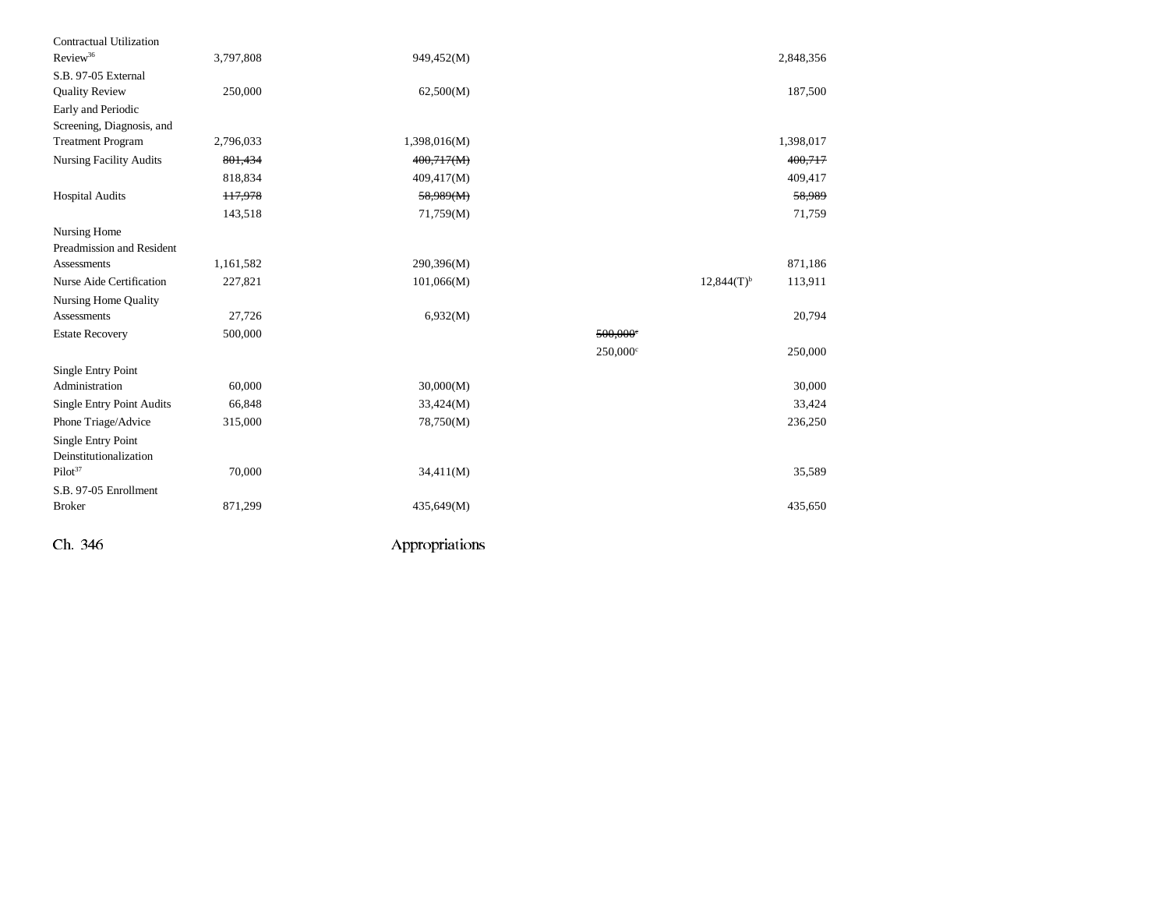| Contractual Utilization          |               |              |                   |                                     |
|----------------------------------|---------------|--------------|-------------------|-------------------------------------|
| Review <sup>36</sup>             | 3,797,808     | 949,452(M)   |                   | 2,848,356                           |
| S.B. 97-05 External              |               |              |                   |                                     |
| <b>Quality Review</b>            | 250,000       | 62,500(M)    |                   | 187,500                             |
| Early and Periodic               |               |              |                   |                                     |
| Screening, Diagnosis, and        |               |              |                   |                                     |
| <b>Treatment Program</b>         | 2,796,033     | 1,398,016(M) |                   | 1,398,017                           |
| <b>Nursing Facility Audits</b>   | 801,434       | 400,717(M)   |                   | 400,717                             |
|                                  | 818,834       | 409,417(M)   |                   | 409,417                             |
| <b>Hospital Audits</b>           | <b>H7,978</b> | 58,989(M)    |                   | 58,989                              |
|                                  | 143,518       | 71,759(M)    |                   | 71,759                              |
| Nursing Home                     |               |              |                   |                                     |
| Preadmission and Resident        |               |              |                   |                                     |
| Assessments                      | 1,161,582     | 290,396(M)   |                   | 871,186                             |
| Nurse Aide Certification         | 227,821       | 101,066(M)   |                   | $12,844(T)$ <sup>b</sup><br>113,911 |
| Nursing Home Quality             |               |              |                   |                                     |
| Assessments                      | 27,726        | 6,932(M)     |                   | 20,794                              |
| <b>Estate Recovery</b>           | 500,000       |              | $500,000$ °       |                                     |
|                                  |               |              | $250,000^{\circ}$ | 250,000                             |
| <b>Single Entry Point</b>        |               |              |                   |                                     |
| Administration                   | 60,000        | 30,000(M)    |                   | 30,000                              |
| <b>Single Entry Point Audits</b> | 66,848        | 33,424(M)    |                   | 33,424                              |
| Phone Triage/Advice              | 315,000       | 78,750(M)    |                   | 236,250                             |
| Single Entry Point               |               |              |                   |                                     |
| Deinstitutionalization           |               |              |                   |                                     |
| $Pilot^{37}$                     | 70,000        | 34,411(M)    |                   | 35,589                              |
| S.B. 97-05 Enrollment            |               |              |                   |                                     |
| <b>Broker</b>                    | 871,299       | 435,649(M)   |                   | 435,650                             |
|                                  |               |              |                   |                                     |
|                                  |               |              |                   |                                     |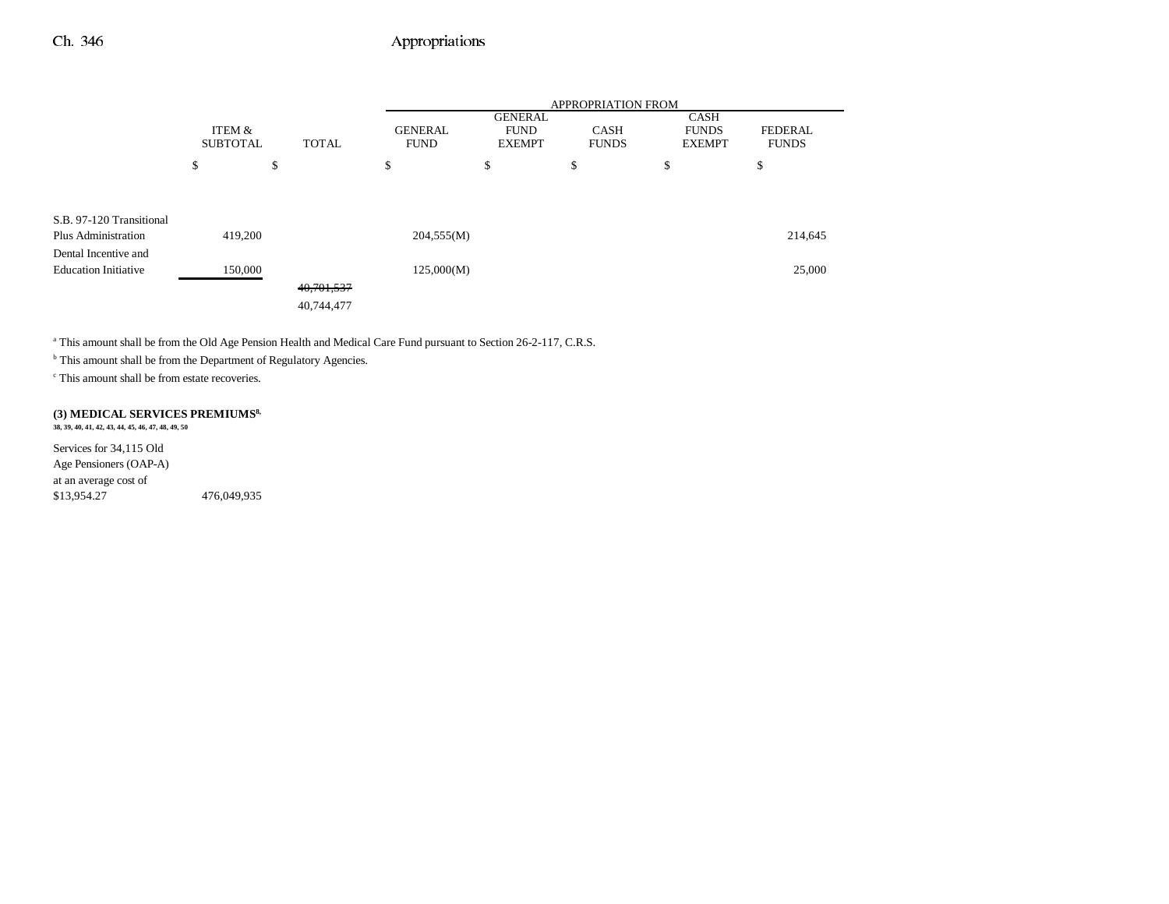|                             | ITEM &<br><b>SUBTOTAL</b><br><b>TOTAL</b> |    | <b>APPROPRIATION FROM</b> |                               |                                                |                             |                                              |                                |
|-----------------------------|-------------------------------------------|----|---------------------------|-------------------------------|------------------------------------------------|-----------------------------|----------------------------------------------|--------------------------------|
|                             |                                           |    |                           | <b>GENERAL</b><br><b>FUND</b> | <b>GENERAL</b><br><b>FUND</b><br><b>EXEMPT</b> | <b>CASH</b><br><b>FUNDS</b> | <b>CASH</b><br><b>FUNDS</b><br><b>EXEMPT</b> | <b>FEDERAL</b><br><b>FUNDS</b> |
|                             | \$                                        | \$ |                           | \$                            | \$                                             | \$                          | \$                                           | \$                             |
|                             |                                           |    |                           |                               |                                                |                             |                                              |                                |
| S.B. 97-120 Transitional    |                                           |    |                           |                               |                                                |                             |                                              |                                |
| Plus Administration         | 419,200                                   |    |                           | 204,555(M)                    |                                                |                             |                                              | 214,645                        |
| Dental Incentive and        |                                           |    |                           |                               |                                                |                             |                                              |                                |
| <b>Education Initiative</b> | 150,000                                   |    |                           | 125,000(M)                    |                                                |                             |                                              | 25,000                         |
|                             |                                           |    | 40,701,537                |                               |                                                |                             |                                              |                                |
|                             |                                           |    | 40,744,477                |                               |                                                |                             |                                              |                                |

<sup>a</sup> This amount shall be from the Old Age Pension Health and Medical Care Fund pursuant to Section 26-2-117, C.R.S.

**b** This amount shall be from the Department of Regulatory Agencies.

c This amount shall be from estate recoveries.

#### **(3) MEDICAL SERVICES PREMIUMS8, 38, 39, 40, 41, 42, 43, 44, 45, 46, 47, 48, 49, 50**

Services for 34,115 Old Age Pensioners (OAP-A) at an average cost of \$13,954.27 476,049,935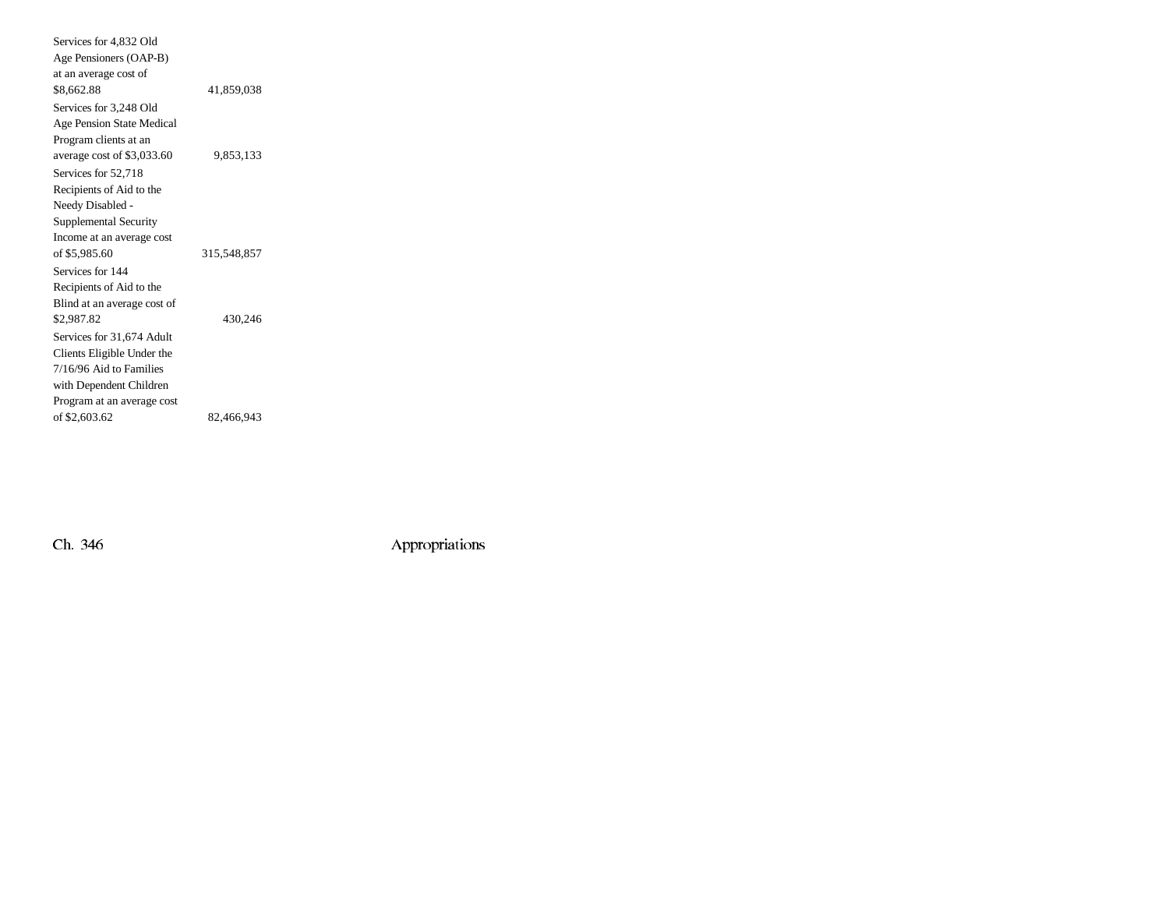| Services for 4,832 Old           |             |
|----------------------------------|-------------|
| Age Pensioners (OAP-B)           |             |
| at an average cost of            |             |
| \$8,662.88                       | 41.859.038  |
| Services for 3,248 Old           |             |
| <b>Age Pension State Medical</b> |             |
| Program clients at an            |             |
| average cost of \$3,033.60       | 9,853,133   |
| Services for 52,718              |             |
| Recipients of Aid to the         |             |
| Needy Disabled -                 |             |
| Supplemental Security            |             |
| Income at an average cost        |             |
| of \$5,985.60                    | 315,548,857 |
| Services for 144                 |             |
| Recipients of Aid to the         |             |
| Blind at an average cost of      |             |
| \$2,987.82                       | 430,246     |
| Services for 31,674 Adult        |             |
| Clients Eligible Under the       |             |
| 7/16/96 Aid to Families          |             |
| with Dependent Children          |             |
| Program at an average cost       |             |
| of \$2,603.62                    | 82,466,943  |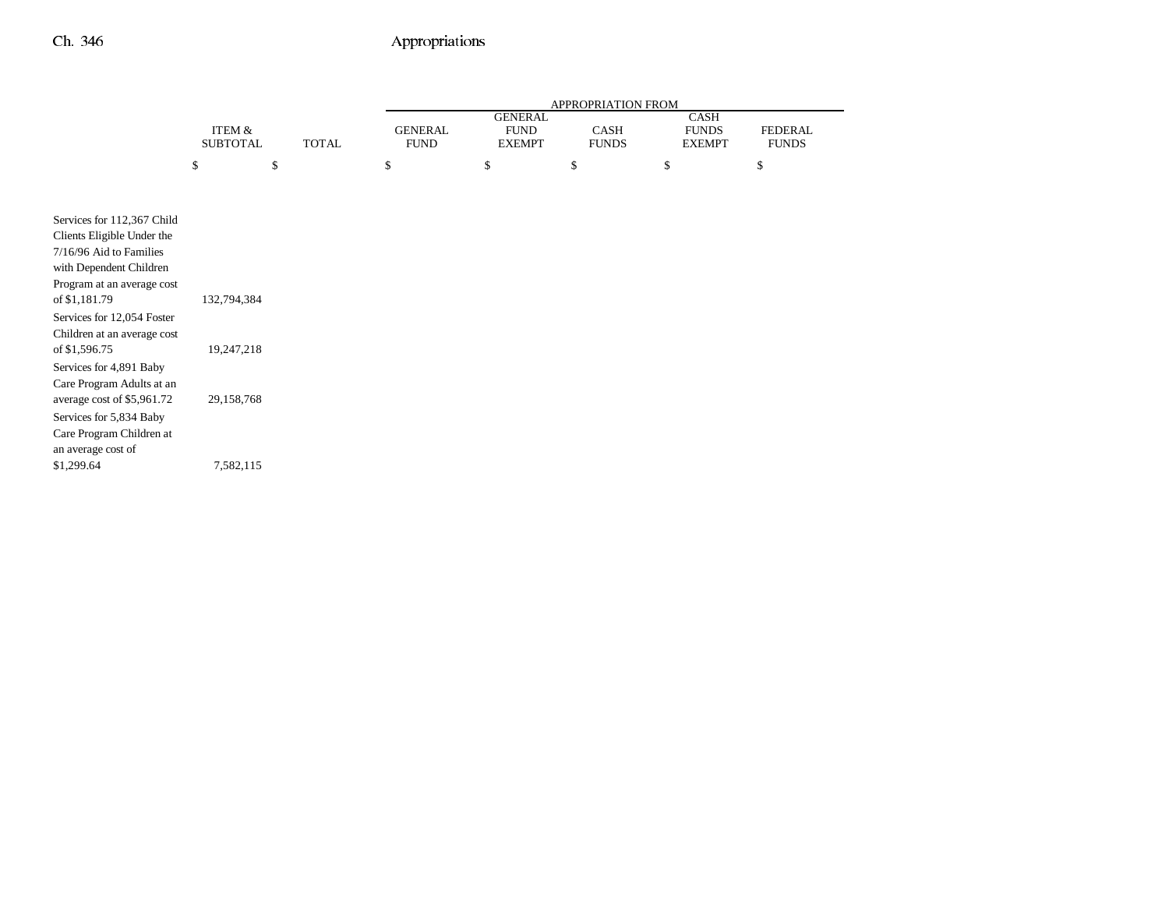|                                                                                                                                                                                                                                                                                                                                                              |                                         |              | APPROPRIATION FROM            |                                                |                      |                                       |                                |
|--------------------------------------------------------------------------------------------------------------------------------------------------------------------------------------------------------------------------------------------------------------------------------------------------------------------------------------------------------------|-----------------------------------------|--------------|-------------------------------|------------------------------------------------|----------------------|---------------------------------------|--------------------------------|
|                                                                                                                                                                                                                                                                                                                                                              | ITEM &<br><b>SUBTOTAL</b>               | <b>TOTAL</b> | <b>GENERAL</b><br><b>FUND</b> | <b>GENERAL</b><br><b>FUND</b><br><b>EXEMPT</b> | CASH<br><b>FUNDS</b> | CASH<br><b>FUNDS</b><br><b>EXEMPT</b> | <b>FEDERAL</b><br><b>FUNDS</b> |
|                                                                                                                                                                                                                                                                                                                                                              | \$                                      | \$           | \$                            | \$                                             | \$                   | \$                                    | \$                             |
| Services for 112,367 Child<br>Clients Eligible Under the<br>7/16/96 Aid to Families<br>with Dependent Children<br>Program at an average cost<br>of \$1,181.79<br>Services for 12,054 Foster<br>Children at an average cost<br>of \$1,596.75<br>Services for 4,891 Baby<br>Care Program Adults at an<br>average cost of \$5,961.72<br>Services for 5,834 Baby | 132,794,384<br>19,247,218<br>29,158,768 |              |                               |                                                |                      |                                       |                                |
| Care Program Children at<br>an average cost of<br>\$1,299.64                                                                                                                                                                                                                                                                                                 | 7,582,115                               |              |                               |                                                |                      |                                       |                                |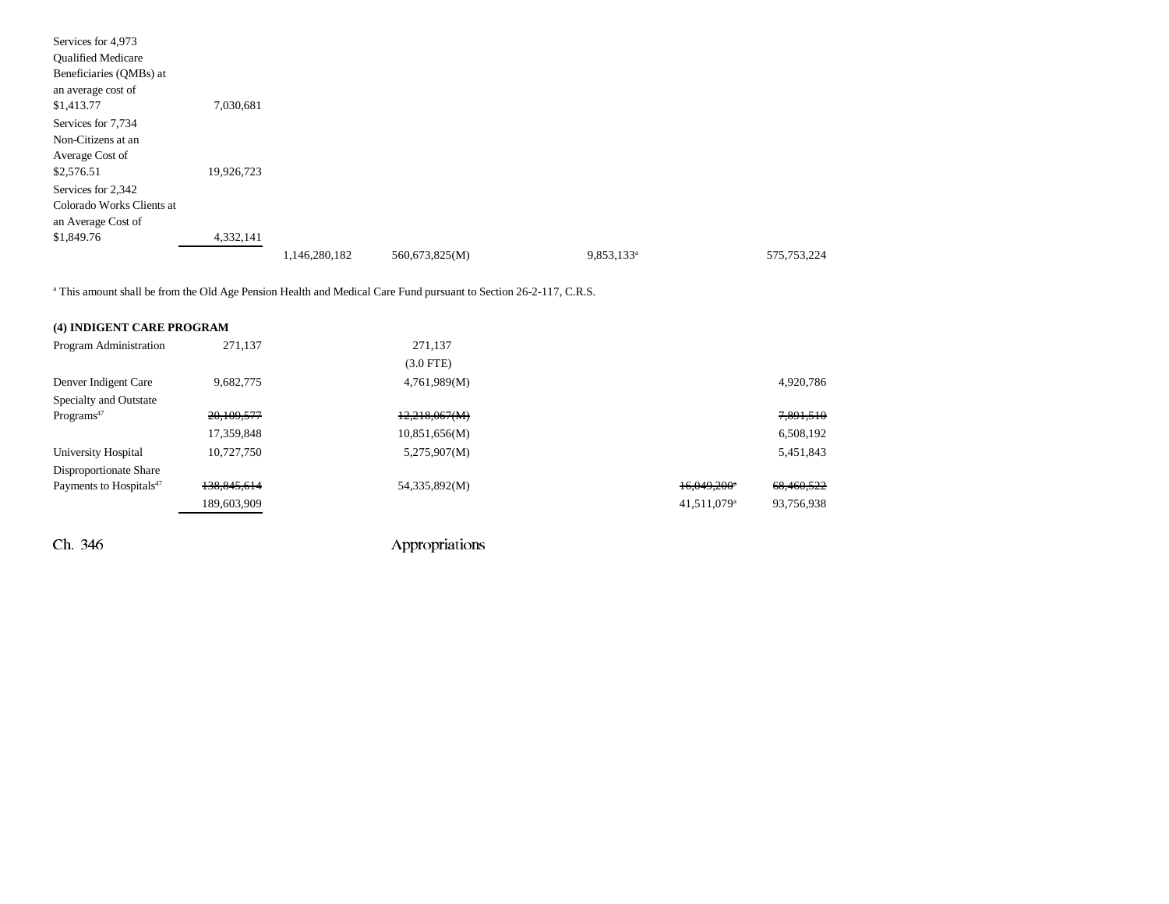| Services for 4,973        |            |               |                |                        |               |
|---------------------------|------------|---------------|----------------|------------------------|---------------|
| <b>Qualified Medicare</b> |            |               |                |                        |               |
| Beneficiaries (QMBs) at   |            |               |                |                        |               |
| an average cost of        |            |               |                |                        |               |
| \$1,413.77                | 7,030,681  |               |                |                        |               |
| Services for 7,734        |            |               |                |                        |               |
| Non-Citizens at an        |            |               |                |                        |               |
| Average Cost of           |            |               |                |                        |               |
| \$2,576.51                | 19,926,723 |               |                |                        |               |
| Services for 2,342        |            |               |                |                        |               |
| Colorado Works Clients at |            |               |                |                        |               |
| an Average Cost of        |            |               |                |                        |               |
| \$1,849.76                | 4,332,141  |               |                |                        |               |
|                           |            | 1,146,280,182 | 560,673,825(M) | 9,853,133 <sup>a</sup> | 575, 753, 224 |

<sup>a</sup> This amount shall be from the Old Age Pension Health and Medical Care Fund pursuant to Section 26-2-117, C.R.S.

| (4) INDIGENT CARE PROGRAM           |             |               |                           |            |
|-------------------------------------|-------------|---------------|---------------------------|------------|
| Program Administration              | 271.137     | 271,137       |                           |            |
|                                     |             | $(3.0$ FTE)   |                           |            |
| Denver Indigent Care                | 9.682.775   | 4,761,989(M)  |                           | 4,920,786  |
| Specialty and Outstate              |             |               |                           |            |
| Programs <sup>47</sup>              | 20,109,577  | 12,218,067(M) |                           | 7,891,510  |
|                                     | 17,359,848  | 10,851,656(M) |                           | 6,508,192  |
| University Hospital                 | 10.727.750  | 5,275,907(M)  |                           | 5,451,843  |
| Disproportionate Share              |             |               |                           |            |
| Payments to Hospitals <sup>47</sup> | 138,845,614 | 54,335,892(M) | $16,049,200$ <sup>*</sup> | 68,460,522 |
|                                     | 189,603,909 |               | $41,511,079$ <sup>a</sup> | 93,756,938 |
|                                     |             |               |                           |            |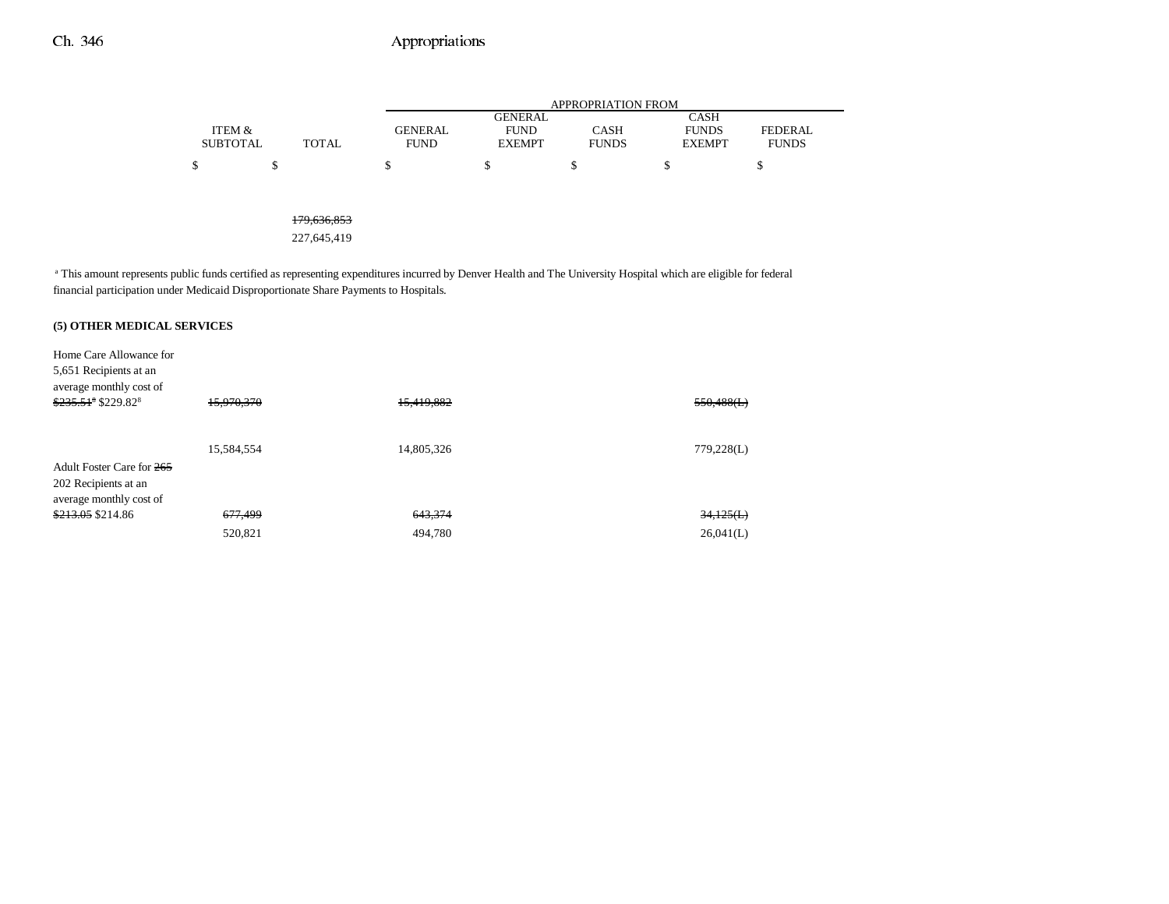|                 |       |                | APPROPRIATION FROM |              |               |                |  |  |  |
|-----------------|-------|----------------|--------------------|--------------|---------------|----------------|--|--|--|
|                 |       |                | <b>GENERAL</b>     |              | CASH          |                |  |  |  |
| ITEM &          |       | <b>GENERAL</b> | <b>FUND</b>        | CASH         | <b>FUNDS</b>  | <b>FEDERAL</b> |  |  |  |
| <b>SUBTOTAL</b> | TOTAL | <b>FUND</b>    | <b>EXEMPT</b>      | <b>FUNDS</b> | <b>EXEMPT</b> | <b>FUNDS</b>   |  |  |  |
| \$              |       |                |                    |              |               |                |  |  |  |

179,636,853

227,645,419

<sup>a</sup> This amount represents public funds certified as representing expenditures incurred by Denver Health and The University Hospital which are eligible for federal financial participation under Medicaid Disproportionate Share Payments to Hospitals.

### **(5) OTHER MEDICAL SERVICES**

| Home Care Allowance for           |                    |            |               |
|-----------------------------------|--------------------|------------|---------------|
| 5,651 Recipients at an            |                    |            |               |
| average monthly cost of           |                    |            |               |
| $$235.51^8$ \$229.82 <sup>8</sup> | 15,970,370         | 15,419,882 | $550,488$ (L) |
|                                   |                    |            |               |
|                                   |                    |            |               |
|                                   | 15,584,554         | 14,805,326 | 779,228(L)    |
| Adult Foster Care for 265         |                    |            |               |
| 202 Recipients at an              |                    |            |               |
| average monthly cost of           |                    |            |               |
| $$213.05$ \$214.86                | <del>677,499</del> | 643,374    | 34,125(L)     |
|                                   | 520,821            | 494,780    | 26,041(L)     |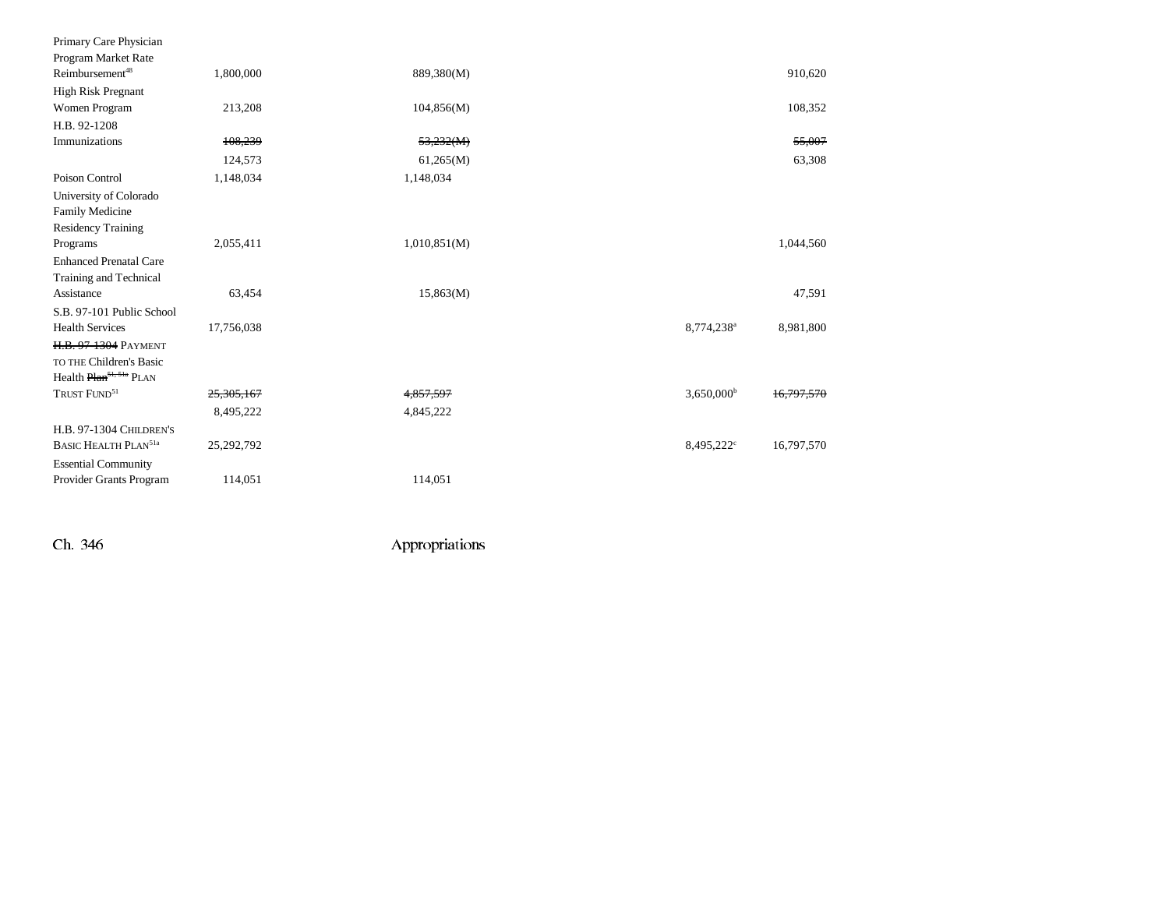| Primary Care Physician                 |            |              |                          |            |
|----------------------------------------|------------|--------------|--------------------------|------------|
| Program Market Rate                    |            |              |                          |            |
| Reimbursement <sup>48</sup>            | 1,800,000  | 889,380(M)   |                          | 910,620    |
| <b>High Risk Pregnant</b>              |            |              |                          |            |
| Women Program                          | 213,208    | 104,856(M)   |                          | 108,352    |
| H.B. 92-1208                           |            |              |                          |            |
| Immunizations                          | 108,239    | 53,232(M)    |                          | 55,007     |
|                                        | 124,573    | 61,265(M)    |                          | 63,308     |
| Poison Control                         | 1,148,034  | 1,148,034    |                          |            |
| University of Colorado                 |            |              |                          |            |
| Family Medicine                        |            |              |                          |            |
| <b>Residency Training</b>              |            |              |                          |            |
| Programs                               | 2,055,411  | 1,010,851(M) |                          | 1,044,560  |
| <b>Enhanced Prenatal Care</b>          |            |              |                          |            |
| Training and Technical                 |            |              |                          |            |
| Assistance                             | 63,454     | 15,863(M)    |                          | 47,591     |
| S.B. 97-101 Public School              |            |              |                          |            |
| <b>Health Services</b>                 | 17,756,038 |              | 8,774,238 <sup>a</sup>   | 8,981,800  |
| <b>H.B. 97-1304 PAYMENT</b>            |            |              |                          |            |
| TO THE Children's Basic                |            |              |                          |            |
| Health Plan <sup>51, 51a</sup> PLAN    |            |              |                          |            |
| TRUST FUND <sup>51</sup>               | 25,305,167 | 4,857,597    | $3,650,000$ <sup>b</sup> | 16.797.570 |
|                                        | 8,495,222  | 4,845,222    |                          |            |
| <b>H.B. 97-1304 CHILDREN'S</b>         |            |              |                          |            |
| <b>BASIC HEALTH PLAN<sup>51a</sup></b> | 25,292,792 |              | 8,495,222 <sup>c</sup>   | 16,797,570 |
| <b>Essential Community</b>             |            |              |                          |            |
| Provider Grants Program                | 114,051    | 114,051      |                          |            |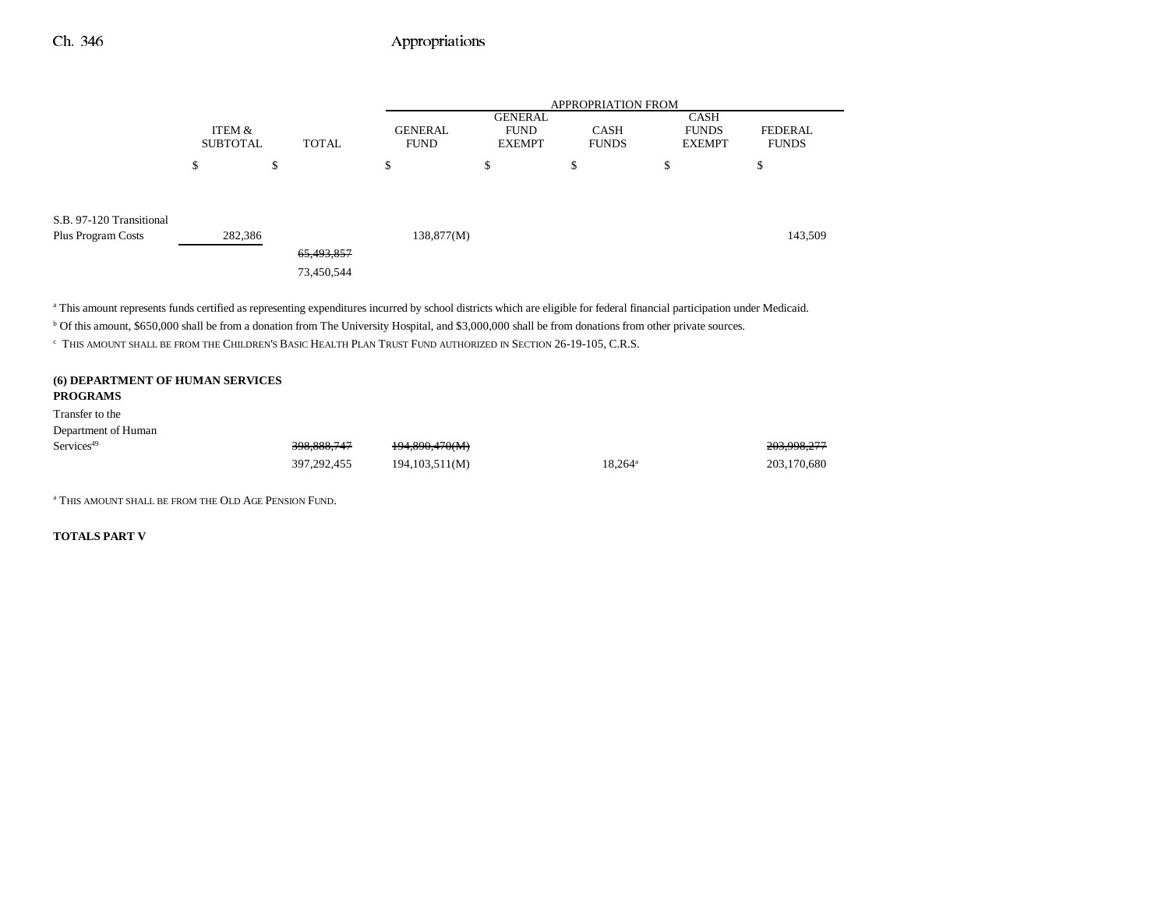|                                                                                                                                                                                      |                           |                          |                               | <b>APPROPRIATION FROM</b>                      |                             |                                              |                                |
|--------------------------------------------------------------------------------------------------------------------------------------------------------------------------------------|---------------------------|--------------------------|-------------------------------|------------------------------------------------|-----------------------------|----------------------------------------------|--------------------------------|
|                                                                                                                                                                                      | ITEM &<br><b>SUBTOTAL</b> | <b>TOTAL</b>             | <b>GENERAL</b><br><b>FUND</b> | <b>GENERAL</b><br><b>FUND</b><br><b>EXEMPT</b> | <b>CASH</b><br><b>FUNDS</b> | <b>CASH</b><br><b>FUNDS</b><br><b>EXEMPT</b> | <b>FEDERAL</b><br><b>FUNDS</b> |
|                                                                                                                                                                                      | \$                        | \$                       | \$                            | \$                                             | \$                          | \$                                           | ¢<br>Φ                         |
| S.B. 97-120 Transitional<br><b>Plus Program Costs</b>                                                                                                                                | 282,386                   | 65,493,857<br>73,450,544 | 138,877(M)                    |                                                |                             |                                              | 143,509                        |
| <sup>a</sup> This amount represents funds certified as representing expenditures incurred by school districts which are eligible for federal financial participation under Medicaid. |                           |                          |                               |                                                |                             |                                              |                                |

b Of this amount, \$650,000 shall be from a donation from The University Hospital, and \$3,000,000 shall be from donations from other private sources.

c THIS AMOUNT SHALL BE FROM THE CHILDREN'S BASIC HEALTH PLAN TRUST FUND AUTHORIZED IN SECTION 26-19-105, C.R.S.

### **(6) DEPARTMENT OF HUMAN SERVICES PROGRAMS**

Transfer to the

| Department of Human    |               |                           |                  |             |
|------------------------|---------------|---------------------------|------------------|-------------|
| Services <sup>49</sup> | 398,888,747   | <del>194,890,470(M)</del> |                  | 203,998,277 |
|                        | 397, 292, 455 | 194,103,511(M)            | $18.264^{\circ}$ | 203,170,680 |

a THIS AMOUNT SHALL BE FROM THE OLD AGE PENSION FUND.

**TOTALS PART V**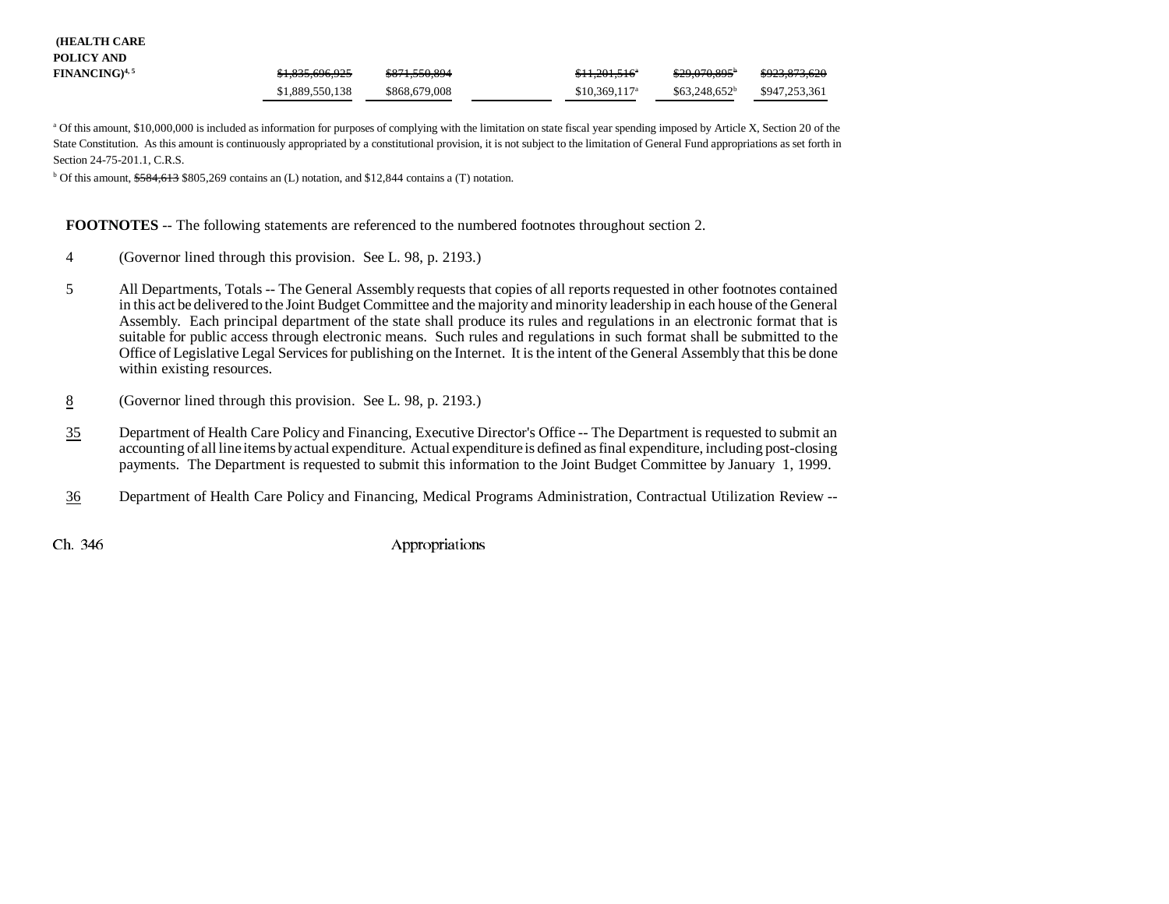| <b>(HEALTH CARE</b> |  |
|---------------------|--|
| POLICY AND          |  |

| . vulvi mv                 |                 |               |                            |                         |               |
|----------------------------|-----------------|---------------|----------------------------|-------------------------|---------------|
| FINANCING) <sup>4, 5</sup> | \$1,835,696,925 | \$871,550,894 | $$11,201,516$ <sup>*</sup> | <del>\$29,070,895</del> | \$923,873,620 |
|                            | \$1,889,550,138 | \$868,679,008 | $$10,369,117^a$            | $$63.248.652^b$         | \$947.253.361 |

a Of this amount, \$10,000,000 is included as information for purposes of complying with the limitation on state fiscal year spending imposed by Article X, Section 20 of the State Constitution. As this amount is continuously appropriated by a constitutional provision, it is not subject to the limitation of General Fund appropriations as set forth in Section 24-75-201.1, C.R.S.

 $\overline{b}$  Of this amount, \$584,613 \$805,269 contains an (L) notation, and \$12,844 contains a (T) notation.

**FOOTNOTES** -- The following statements are referenced to the numbered footnotes throughout section 2.

- 4 (Governor lined through this provision. See L. 98, p. 2193.)
- 5 All Departments, Totals -- The General Assembly requests that copies of all reports requested in other footnotes contained in this act be delivered to the Joint Budget Committee and the majority and minority leadership in each house of the General Assembly. Each principal department of the state shall produce its rules and regulations in an electronic format that is suitable for public access through electronic means. Such rules and regulations in such format shall be submitted to the Office of Legislative Legal Services for publishing on the Internet. It is the intent of the General Assembly that this be done within existing resources.
- 8(Governor lined through this provision. See L. 98, p. 2193.)
- 35 Department of Health Care Policy and Financing, Executive Director's Office -- The Department is requested to submit an accounting of all line items by actual expenditure. Actual expenditure is defined as final expenditure, including post-closing payments. The Department is requested to submit this information to the Joint Budget Committee by January 1, 1999.
- 36Department of Health Care Policy and Financing, Medical Programs Administration, Contractual Utilization Review --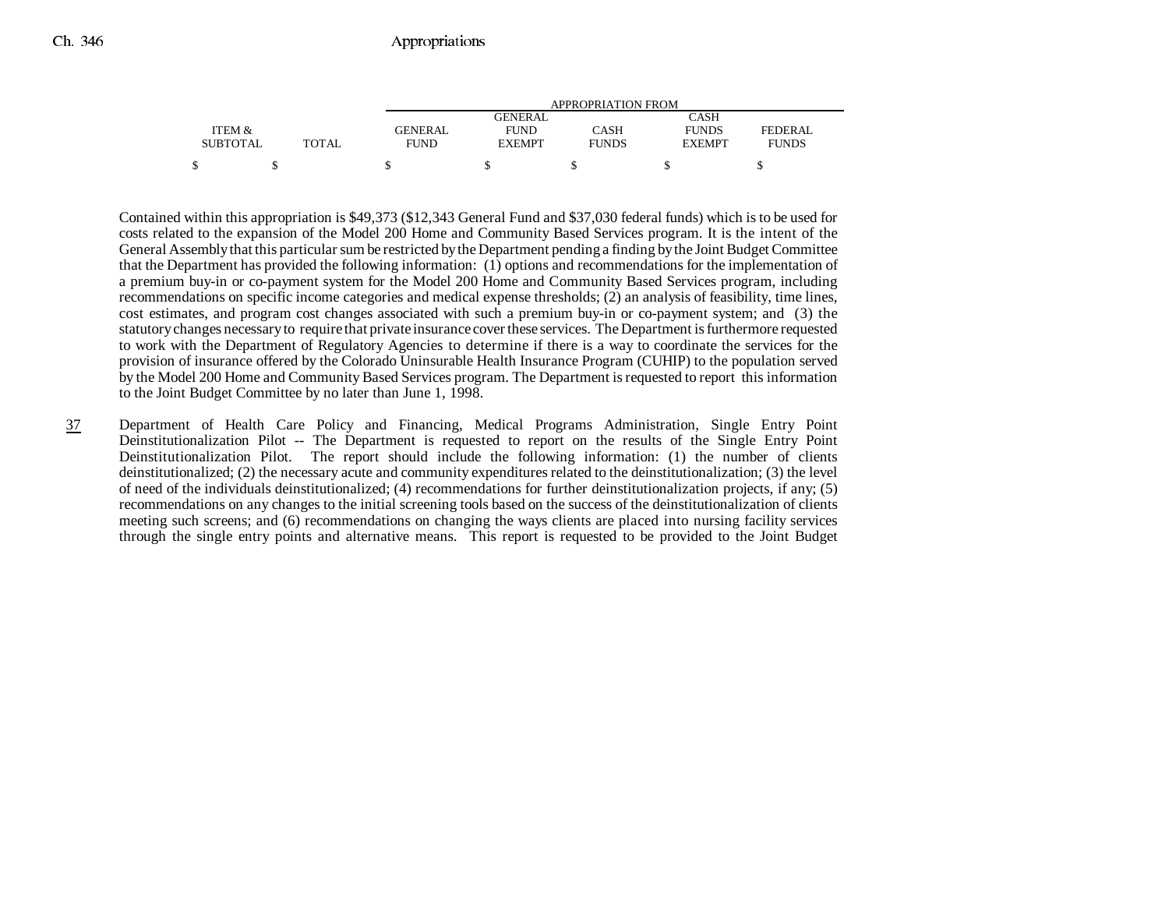|                 |       | APPROPRIATION FROM |                |              |               |              |
|-----------------|-------|--------------------|----------------|--------------|---------------|--------------|
|                 |       |                    | <b>GENERAL</b> |              | CASH          |              |
| ITEM &          |       | GENERAL            | <b>FUND</b>    | CASH         | <b>FUNDS</b>  | FEDERAL      |
| <b>SUBTOTAL</b> | TOTAL | <b>FUND</b>        | <b>EXEMPT</b>  | <b>FUNDS</b> | <b>EXEMPT</b> | <b>FUNDS</b> |
| \$              |       |                    |                |              |               |              |

Contained within this appropriation is \$49,373 (\$12,343 General Fund and \$37,030 federal funds) which is to be used for costs related to the expansion of the Model 200 Home and Community Based Services program. It is the intent of the General Assembly that this particular sum be restricted by the Department pending a finding by the Joint Budget Committee that the Department has provided the following information: (1) options and recommendations for the implementation of a premium buy-in or co-payment system for the Model 200 Home and Community Based Services program, including recommendations on specific income categories and medical expense thresholds; (2) an analysis of feasibility, time lines, cost estimates, and program cost changes associated with such a premium buy-in or co-payment system; and (3) the statutory changes necessary to require that private insurance cover these services. The Department is furthermore requested to work with the Department of Regulatory Agencies to determine if there is a way to coordinate the services for the provision of insurance offered by the Colorado Uninsurable Health Insurance Program (CUHIP) to the population served by the Model 200 Home and Community Based Services program. The Department is requested to report this information to the Joint Budget Committee by no later than June 1, 1998.

37 Department of Health Care Policy and Financing, Medical Programs Administration, Single Entry Point Deinstitutionalization Pilot -- The Department is requested to report on the results of the Single Entry Point Deinstitutionalization Pilot. The report should include the following information: (1) the number of clients deinstitutionalized; (2) the necessary acute and community expenditures related to the deinstitutionalization; (3) the level of need of the individuals deinstitutionalized; (4) recommendations for further deinstitutionalization projects, if any; (5) recommendations on any changes to the initial screening tools based on the success of the deinstitutionalization of clients meeting such screens; and (6) recommendations on changing the ways clients are placed into nursing facility services through the single entry points and alternative means. This report is requested to be provided to the Joint Budget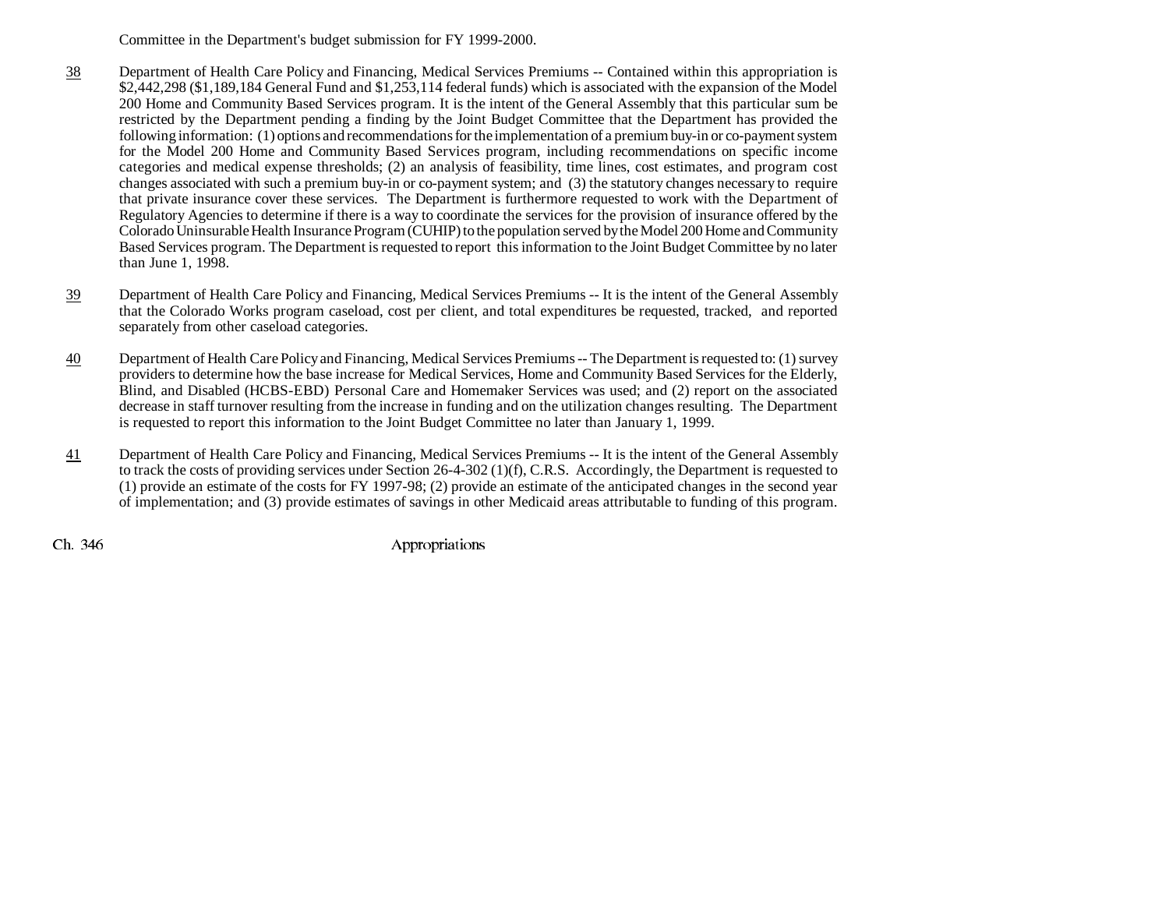Committee in the Department's budget submission for FY 1999-2000.

- 38 Department of Health Care Policy and Financing, Medical Services Premiums -- Contained within this appropriation is \$2,442,298 (\$1,189,184 General Fund and \$1,253,114 federal funds) which is associated with the expansion of the Model 200 Home and Community Based Services program. It is the intent of the General Assembly that this particular sum be restricted by the Department pending a finding by the Joint Budget Committee that the Department has provided the following information: (1) options and recommendations for the implementation of a premium buy-in or co-payment system for the Model 200 Home and Community Based Services program, including recommendations on specific income categories and medical expense thresholds; (2) an analysis of feasibility, time lines, cost estimates, and program cost changes associated with such a premium buy-in or co-payment system; and (3) the statutory changes necessary to require that private insurance cover these services. The Department is furthermore requested to work with the Department of Regulatory Agencies to determine if there is a way to coordinate the services for the provision of insurance offered by the Colorado Uninsurable Health Insurance Program (CUHIP) to the population served by the Model 200 Home and Community Based Services program. The Department is requested to report this information to the Joint Budget Committee by no later than June 1, 1998.
- 39 Department of Health Care Policy and Financing, Medical Services Premiums -- It is the intent of the General Assembly that the Colorado Works program caseload, cost per client, and total expenditures be requested, tracked, and reported separately from other caseload categories.
- 40 Department of Health Care Policy and Financing, Medical Services Premiums -- The Department is requested to: (1) survey providers to determine how the base increase for Medical Services, Home and Community Based Services for the Elderly, Blind, and Disabled (HCBS-EBD) Personal Care and Homemaker Services was used; and (2) report on the associated decrease in staff turnover resulting from the increase in funding and on the utilization changes resulting. The Department is requested to report this information to the Joint Budget Committee no later than January 1, 1999.
- 41 Department of Health Care Policy and Financing, Medical Services Premiums -- It is the intent of the General Assembly to track the costs of providing services under Section 26-4-302 (1)(f), C.R.S. Accordingly, the Department is requested to (1) provide an estimate of the costs for FY 1997-98; (2) provide an estimate of the anticipated changes in the second year of implementation; and (3) provide estimates of savings in other Medicaid areas attributable to funding of this program.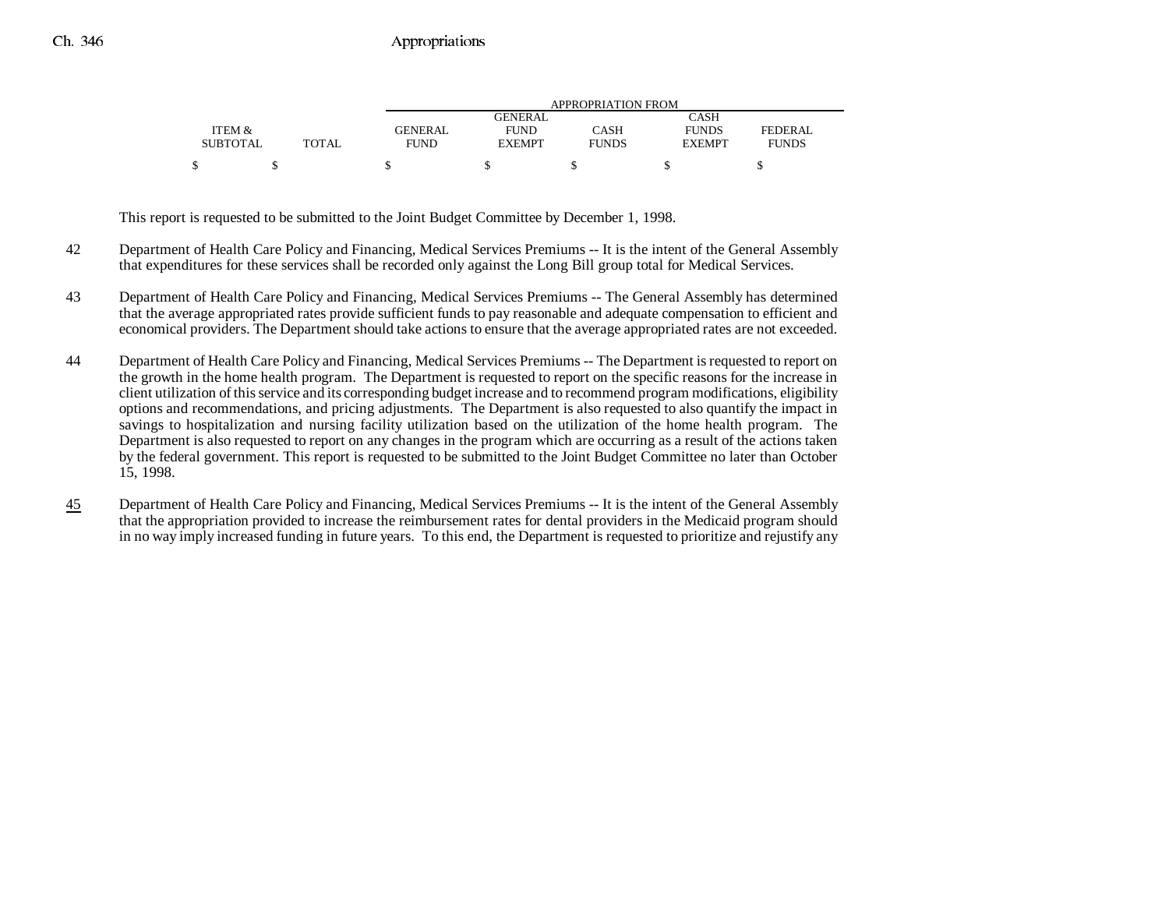|                 |              | APPROPRIATION FROM |               |              |               |              |
|-----------------|--------------|--------------------|---------------|--------------|---------------|--------------|
|                 |              |                    | GENERAL       |              | CASH          |              |
| ITEM &          |              | <b>GENERAL</b>     | <b>FUND</b>   | CASH         | <b>FUNDS</b>  | FEDERAL      |
| <b>SUBTOTAL</b> | <b>TOTAL</b> | FUND               | <b>EXEMPT</b> | <b>FUNDS</b> | <b>EXEMPT</b> | <b>FUNDS</b> |
|                 |              |                    |               |              |               |              |

This report is requested to be submitted to the Joint Budget Committee by December 1, 1998.

- 42 Department of Health Care Policy and Financing, Medical Services Premiums -- It is the intent of the General Assembly that expenditures for these services shall be recorded only against the Long Bill group total for Medical Services.
- 43 Department of Health Care Policy and Financing, Medical Services Premiums -- The General Assembly has determined that the average appropriated rates provide sufficient funds to pay reasonable and adequate compensation to efficient and economical providers. The Department should take actions to ensure that the average appropriated rates are not exceeded.
- 44 Department of Health Care Policy and Financing, Medical Services Premiums -- The Department is requested to report on the growth in the home health program. The Department is requested to report on the specific reasons for the increase in client utilization of this service and its corresponding budget increase and to recommend program modifications, eligibility options and recommendations, and pricing adjustments. The Department is also requested to also quantify the impact in savings to hospitalization and nursing facility utilization based on the utilization of the home health program. The Department is also requested to report on any changes in the program which are occurring as a result of the actions taken by the federal government. This report is requested to be submitted to the Joint Budget Committee no later than October 15, 1998.
- 45 Department of Health Care Policy and Financing, Medical Services Premiums -- It is the intent of the General Assembly that the appropriation provided to increase the reimbursement rates for dental providers in the Medicaid program should in no way imply increased funding in future years. To this end, the Department is requested to prioritize and rejustify any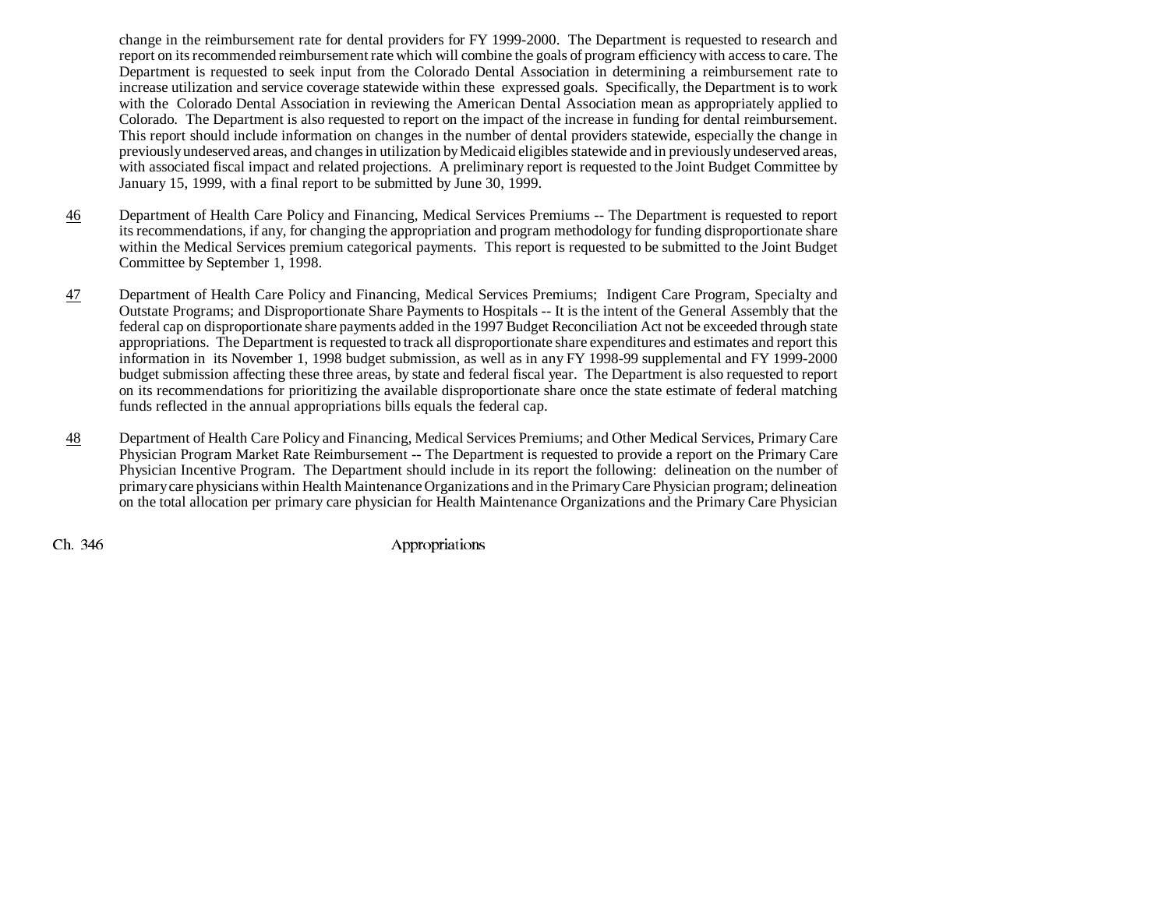change in the reimbursement rate for dental providers for FY 1999-2000. The Department is requested to research and report on its recommended reimbursement rate which will combine the goals of program efficiency with access to care. The Department is requested to seek input from the Colorado Dental Association in determining a reimbursement rate to increase utilization and service coverage statewide within these expressed goals. Specifically, the Department is to work with the Colorado Dental Association in reviewing the American Dental Association mean as appropriately applied to Colorado. The Department is also requested to report on the impact of the increase in funding for dental reimbursement. This report should include information on changes in the number of dental providers statewide, especially the change in previously undeserved areas, and changes in utilization by Medicaid eligibles statewide and in previously undeserved areas, with associated fiscal impact and related projections. A preliminary report is requested to the Joint Budget Committee by January 15, 1999, with a final report to be submitted by June 30, 1999.

- 46 Department of Health Care Policy and Financing, Medical Services Premiums -- The Department is requested to report its recommendations, if any, for changing the appropriation and program methodology for funding disproportionate share within the Medical Services premium categorical payments. This report is requested to be submitted to the Joint Budget Committee by September 1, 1998.
- 47 Department of Health Care Policy and Financing, Medical Services Premiums; Indigent Care Program, Specialty and Outstate Programs; and Disproportionate Share Payments to Hospitals -- It is the intent of the General Assembly that the federal cap on disproportionate share payments added in the 1997 Budget Reconciliation Act not be exceeded through state appropriations. The Department is requested to track all disproportionate share expenditures and estimates and report this information in its November 1, 1998 budget submission, as well as in any FY 1998-99 supplemental and FY 1999-2000 budget submission affecting these three areas, by state and federal fiscal year. The Department is also requested to report on its recommendations for prioritizing the available disproportionate share once the state estimate of federal matching funds reflected in the annual appropriations bills equals the federal cap.
- 48 Department of Health Care Policy and Financing, Medical Services Premiums; and Other Medical Services, Primary Care Physician Program Market Rate Reimbursement -- The Department is requested to provide a report on the Primary Care Physician Incentive Program. The Department should include in its report the following: delineation on the number of primary care physicians within Health Maintenance Organizations and in the Primary Care Physician program; delineation on the total allocation per primary care physician for Health Maintenance Organizations and the Primary Care Physician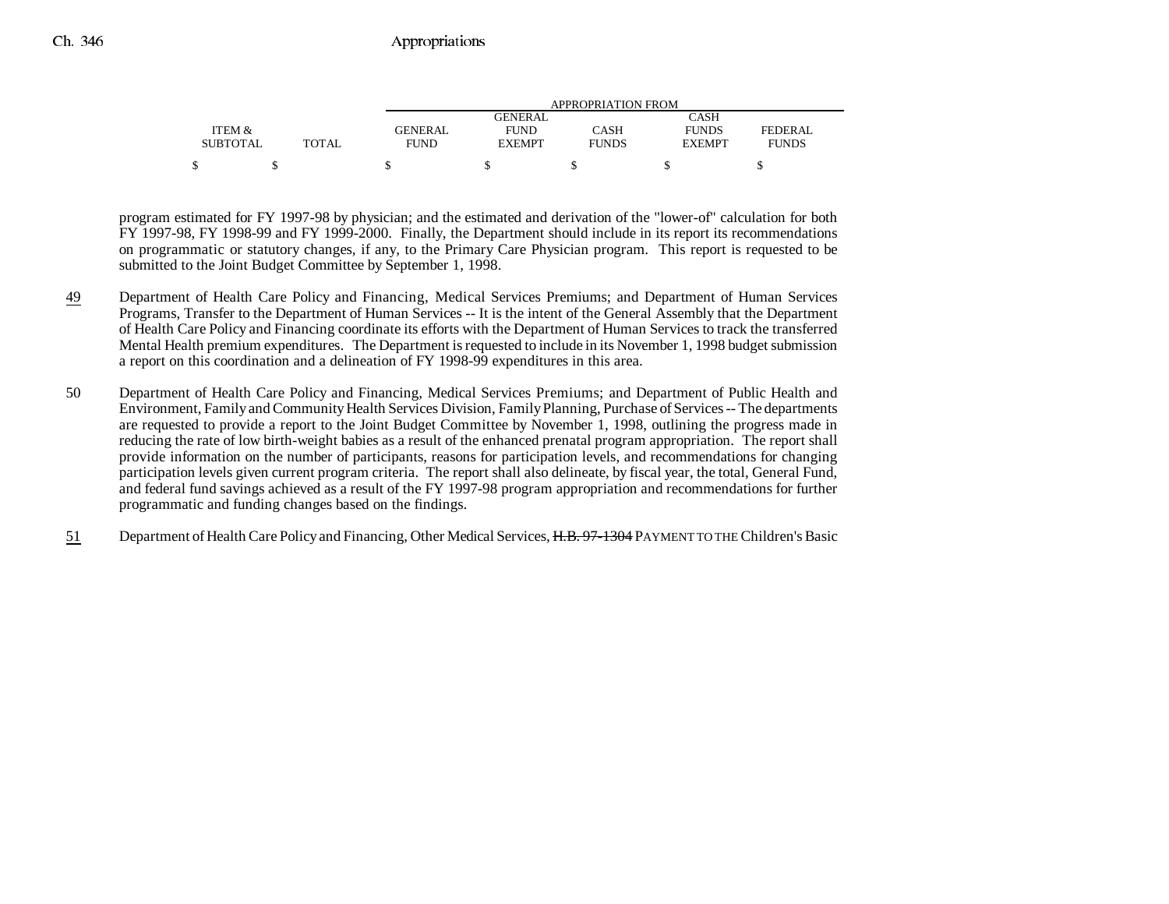|                 |              | APPROPRIATION FROM |               |              |               |              |
|-----------------|--------------|--------------------|---------------|--------------|---------------|--------------|
|                 |              |                    | GENERAL       |              | CASH          |              |
| ITEM &          |              | <b>GENERAL</b>     | <b>FUND</b>   | CASH         | <b>FUNDS</b>  | FEDERAL      |
| <b>SUBTOTAL</b> | <b>TOTAL</b> | FUND               | <b>EXEMPT</b> | <b>FUNDS</b> | <b>EXEMPT</b> | <b>FUNDS</b> |
|                 |              |                    |               |              |               |              |

program estimated for FY 1997-98 by physician; and the estimated and derivation of the "lower-of" calculation for both FY 1997-98, FY 1998-99 and FY 1999-2000. Finally, the Department should include in its report its recommendations on programmatic or statutory changes, if any, to the Primary Care Physician program. This report is requested to be submitted to the Joint Budget Committee by September 1, 1998.

- 49 Department of Health Care Policy and Financing, Medical Services Premiums; and Department of Human Services Programs, Transfer to the Department of Human Services -- It is the intent of the General Assembly that the Department of Health Care Policy and Financing coordinate its efforts with the Department of Human Services to track the transferred Mental Health premium expenditures. The Department is requested to include in its November 1, 1998 budget submission a report on this coordination and a delineation of FY 1998-99 expenditures in this area.
- 50 Department of Health Care Policy and Financing, Medical Services Premiums; and Department of Public Health and Environment, Family and Community Health Services Division, Family Planning, Purchase of Services -- The departments are requested to provide a report to the Joint Budget Committee by November 1, 1998, outlining the progress made in reducing the rate of low birth-weight babies as a result of the enhanced prenatal program appropriation. The report shall provide information on the number of participants, reasons for participation levels, and recommendations for changing participation levels given current program criteria. The report shall also delineate, by fiscal year, the total, General Fund, and federal fund savings achieved as a result of the FY 1997-98 program appropriation and recommendations for further programmatic and funding changes based on the findings.
- 51Department of Health Care Policy and Financing, Other Medical Services, H.B. 97-1304 PAYMENT TO THE Children's Basic